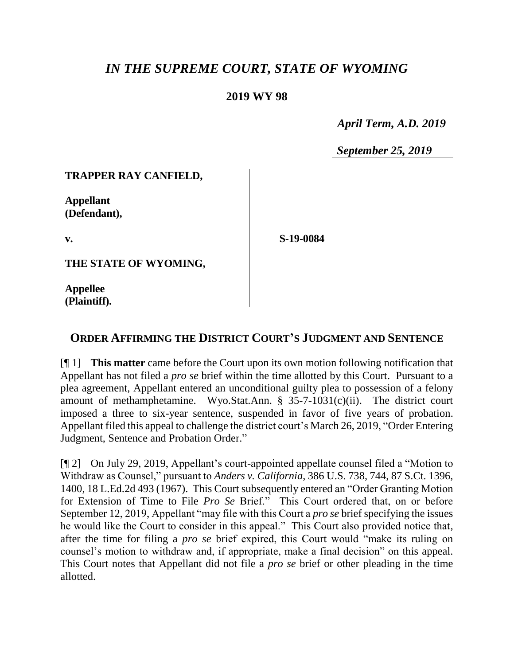# *IN THE SUPREME COURT, STATE OF WYOMING*

### **2019 WY 98**

 *April Term, A.D. 2019*

*September 25, 2019*

#### **TRAPPER RAY CANFIELD,**

**Appellant (Defendant),**

**v.**

**S-19-0084**

**THE STATE OF WYOMING,**

**Appellee (Plaintiff).**

## **ORDER AFFIRMING THE DISTRICT COURT'S JUDGMENT AND SENTENCE**

[¶ 1] **This matter** came before the Court upon its own motion following notification that Appellant has not filed a *pro se* brief within the time allotted by this Court. Pursuant to a plea agreement, Appellant entered an unconditional guilty plea to possession of a felony amount of methamphetamine. Wyo.Stat.Ann. § 35-7-1031(c)(ii). The district court imposed a three to six-year sentence, suspended in favor of five years of probation. Appellant filed this appeal to challenge the district court's March 26, 2019, "Order Entering Judgment, Sentence and Probation Order."

[¶ 2] On July 29, 2019, Appellant's court-appointed appellate counsel filed a "Motion to Withdraw as Counsel," pursuant to *Anders v. California*, 386 U.S. 738, 744, 87 S.Ct. 1396, 1400, 18 L.Ed.2d 493 (1967). This Court subsequently entered an "Order Granting Motion for Extension of Time to File *Pro Se* Brief." This Court ordered that, on or before September 12, 2019, Appellant "may file with this Court a *pro se* brief specifying the issues he would like the Court to consider in this appeal." This Court also provided notice that, after the time for filing a *pro se* brief expired, this Court would "make its ruling on counsel's motion to withdraw and, if appropriate, make a final decision" on this appeal. This Court notes that Appellant did not file a *pro se* brief or other pleading in the time allotted.